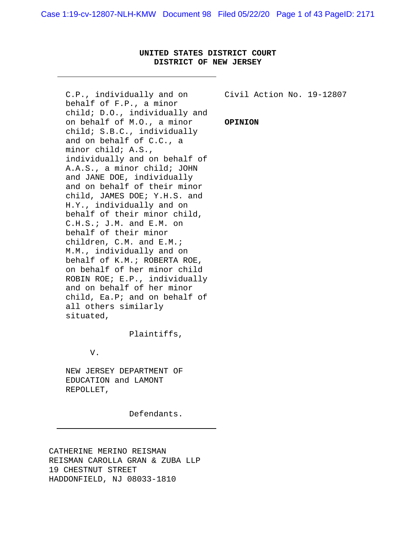# **UNITED STATES DISTRICT COURT DISTRICT OF NEW JERSEY**

C.P., individually and on behalf of F.P., a minor child; D.O., individually and on behalf of M.O., a minor child; S.B.C., individually and on behalf of C.C., a minor child; A.S., individually and on behalf of A.A.S., a minor child; JOHN and JANE DOE, individually and on behalf of their minor child, JAMES DOE; Y.H.S. and H.Y., individually and on behalf of their minor child, C.H.S.; J.M. and E.M. on behalf of their minor children, C.M. and E.M.; M.M., individually and on behalf of K.M.; ROBERTA ROE, on behalf of her minor child ROBIN ROE; E.P., individually and on behalf of her minor child, Ea.P; and on behalf of all others similarly situated,

Plaintiffs,

V.

NEW JERSEY DEPARTMENT OF EDUCATION and LAMONT REPOLLET,

Defendants.

CATHERINE MERINO REISMAN REISMAN CAROLLA GRAN & ZUBA LLP 19 CHESTNUT STREET HADDONFIELD, NJ 08033-1810

Civil Action No. 19-12807

#### **OPINION**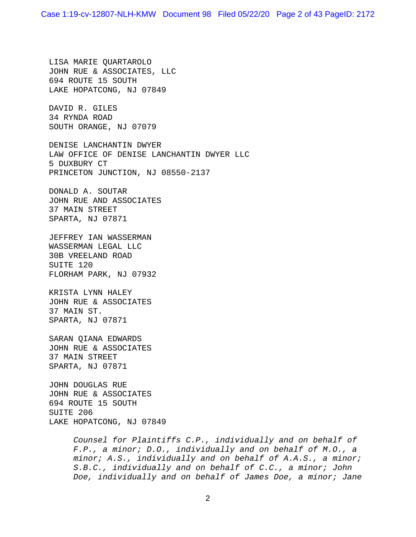LISA MARIE QUARTAROLO JOHN RUE & ASSOCIATES, LLC 694 ROUTE 15 SOUTH LAKE HOPATCONG, NJ 07849

DAVID R. GILES 34 RYNDA ROAD SOUTH ORANGE, NJ 07079

DENISE LANCHANTIN DWYER LAW OFFICE OF DENISE LANCHANTIN DWYER LLC 5 DUXBURY CT PRINCETON JUNCTION, NJ 08550-2137

DONALD A. SOUTAR JOHN RUE AND ASSOCIATES 37 MAIN STREET SPARTA, NJ 07871

JEFFREY IAN WASSERMAN WASSERMAN LEGAL LLC 30B VREELAND ROAD SUITE 120 FLORHAM PARK, NJ 07932

KRISTA LYNN HALEY JOHN RUE & ASSOCIATES 37 MAIN ST. SPARTA, NJ 07871

SARAN QIANA EDWARDS JOHN RUE & ASSOCIATES 37 MAIN STREET SPARTA, NJ 07871

JOHN DOUGLAS RUE JOHN RUE & ASSOCIATES 694 ROUTE 15 SOUTH SUITE 206 LAKE HOPATCONG, NJ 07849

> *Counsel for Plaintiffs C.P., individually and on behalf of F.P., a minor; D.O., individually and on behalf of M.O., a minor; A.S., individually and on behalf of A.A.S., a minor; S.B.C., individually and on behalf of C.C., a minor; John Doe, individually and on behalf of James Doe, a minor; Jane*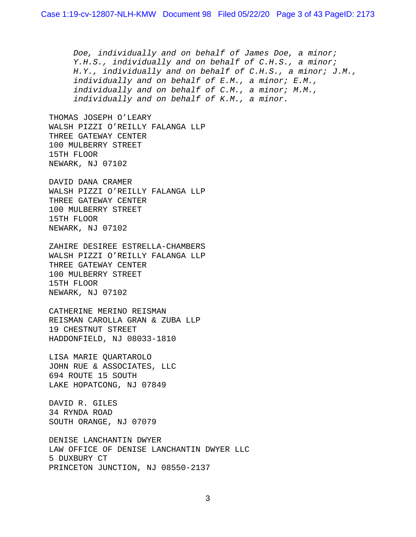*Doe, individually and on behalf of James Doe, a minor; Y.H.S., individually and on behalf of C.H.S., a minor; H.Y., individually and on behalf of C.H.S., a minor; J.M., individually and on behalf of E.M., a minor; E.M., individually and on behalf of C.M., a minor; M.M., individually and on behalf of K.M., a minor.*

THOMAS JOSEPH O'LEARY WALSH PIZZI O'REILLY FALANGA LLP THREE GATEWAY CENTER 100 MULBERRY STREET 15TH FLOOR NEWARK, NJ 07102

DAVID DANA CRAMER WALSH PIZZI O'REILLY FALANGA LLP THREE GATEWAY CENTER 100 MULBERRY STREET 15TH FLOOR NEWARK, NJ 07102

ZAHIRE DESIREE ESTRELLA-CHAMBERS WALSH PIZZI O'REILLY FALANGA LLP THREE GATEWAY CENTER 100 MULBERRY STREET 15TH FLOOR NEWARK, NJ 07102

CATHERINE MERINO REISMAN REISMAN CAROLLA GRAN & ZUBA LLP 19 CHESTNUT STREET HADDONFIELD, NJ 08033-1810

LISA MARIE QUARTAROLO JOHN RUE & ASSOCIATES, LLC 694 ROUTE 15 SOUTH LAKE HOPATCONG, NJ 07849

DAVID R. GILES 34 RYNDA ROAD SOUTH ORANGE, NJ 07079

DENISE LANCHANTIN DWYER LAW OFFICE OF DENISE LANCHANTIN DWYER LLC 5 DUXBURY CT PRINCETON JUNCTION, NJ 08550-2137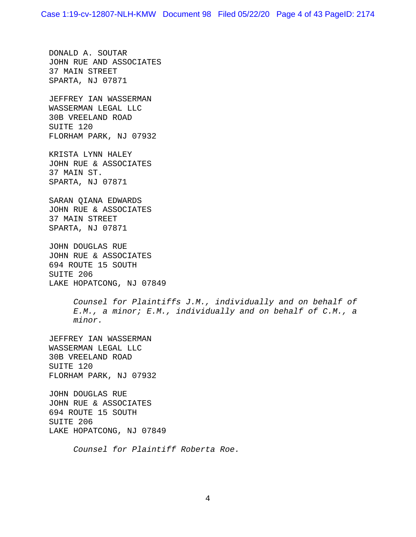DONALD A. SOUTAR JOHN RUE AND ASSOCIATES 37 MAIN STREET SPARTA, NJ 07871

JEFFREY IAN WASSERMAN WASSERMAN LEGAL LLC 30B VREELAND ROAD SUITE 120 FLORHAM PARK, NJ 07932

KRISTA LYNN HALEY JOHN RUE & ASSOCIATES 37 MAIN ST. SPARTA, NJ 07871

SARAN QIANA EDWARDS JOHN RUE & ASSOCIATES 37 MAIN STREET SPARTA, NJ 07871

JOHN DOUGLAS RUE JOHN RUE & ASSOCIATES 694 ROUTE 15 SOUTH SUITE 206 LAKE HOPATCONG, NJ 07849

> *Counsel for Plaintiffs J.M., individually and on behalf of E.M., a minor; E.M., individually and on behalf of C.M., a minor.*

JEFFREY IAN WASSERMAN WASSERMAN LEGAL LLC 30B VREELAND ROAD SUITE 120 FLORHAM PARK, NJ 07932

JOHN DOUGLAS RUE JOHN RUE & ASSOCIATES 694 ROUTE 15 SOUTH SUITE 206 LAKE HOPATCONG, NJ 07849

*Counsel for Plaintiff Roberta Roe.*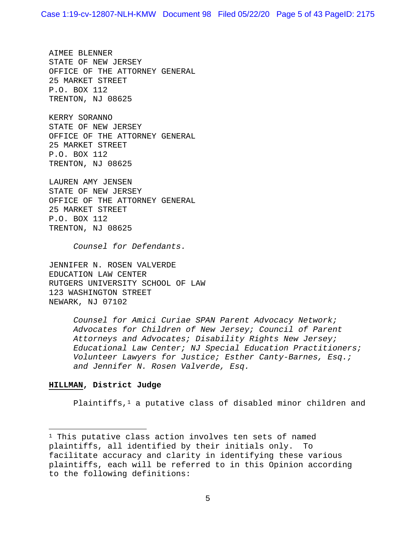AIMEE BLENNER STATE OF NEW JERSEY OFFICE OF THE ATTORNEY GENERAL 25 MARKET STREET P.O. BOX 112 TRENTON, NJ 08625

KERRY SORANNO STATE OF NEW JERSEY OFFICE OF THE ATTORNEY GENERAL 25 MARKET STREET P.O. BOX 112 TRENTON, NJ 08625

LAUREN AMY JENSEN STATE OF NEW JERSEY OFFICE OF THE ATTORNEY GENERAL 25 MARKET STREET P.O. BOX 112 TRENTON, NJ 08625

*Counsel for Defendants.* 

JENNIFER N. ROSEN VALVERDE EDUCATION LAW CENTER RUTGERS UNIVERSITY SCHOOL OF LAW 123 WASHINGTON STREET NEWARK, NJ 07102

> *Counsel for Amici Curiae SPAN Parent Advocacy Network; Advocates for Children of New Jersey; Council of Parent Attorneys and Advocates; Disability Rights New Jersey; Educational Law Center; NJ Special Education Practitioners; Volunteer Lawyers for Justice; Esther Canty-Barnes, Esq.; and Jennifer N. Rosen Valverde, Esq.*

### **HILLMAN, District Judge**

Plaintiffs, $1$  a putative class of disabled minor children and

<sup>1</sup> This putative class action involves ten sets of named plaintiffs, all identified by their initials only. To facilitate accuracy and clarity in identifying these various plaintiffs, each will be referred to in this Opinion according to the following definitions: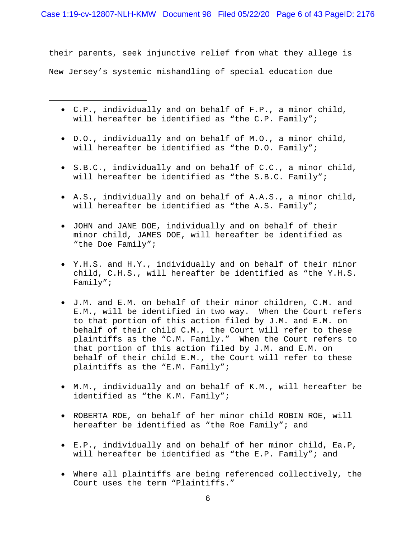their parents, seek injunctive relief from what they allege is New Jersey's systemic mishandling of special education due

- C.P., individually and on behalf of F.P., a minor child, will hereafter be identified as "the C.P. Family";
- D.O., individually and on behalf of M.O., a minor child, will hereafter be identified as "the D.O. Family";
- S.B.C., individually and on behalf of C.C., a minor child, will hereafter be identified as "the S.B.C. Family";
- A.S., individually and on behalf of A.A.S., a minor child, will hereafter be identified as "the A.S. Family";
- JOHN and JANE DOE, individually and on behalf of their minor child, JAMES DOE, will hereafter be identified as "the Doe Family";
- Y.H.S. and H.Y., individually and on behalf of their minor child, C.H.S., will hereafter be identified as "the Y.H.S. Family";
- J.M. and E.M. on behalf of their minor children, C.M. and E.M., will be identified in two way. When the Court refers to that portion of this action filed by J.M. and E.M. on behalf of their child C.M., the Court will refer to these plaintiffs as the "C.M. Family." When the Court refers to that portion of this action filed by J.M. and E.M. on behalf of their child E.M., the Court will refer to these plaintiffs as the "E.M. Family";
- M.M., individually and on behalf of K.M., will hereafter be identified as "the K.M. Family";
- ROBERTA ROE, on behalf of her minor child ROBIN ROE, will hereafter be identified as "the Roe Family"; and
- E.P., individually and on behalf of her minor child, Ea.P, will hereafter be identified as "the E.P. Family"; and
- Where all plaintiffs are being referenced collectively, the Court uses the term "Plaintiffs."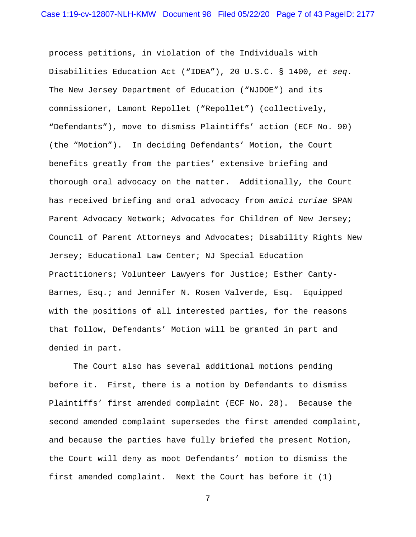process petitions, in violation of the Individuals with Disabilities Education Act ("IDEA"), 20 U.S.C. § 1400, *et seq*. The New Jersey Department of Education ("NJDOE") and its commissioner, Lamont Repollet ("Repollet") (collectively, "Defendants"), move to dismiss Plaintiffs' action (ECF No. 90) (the "Motion"). In deciding Defendants' Motion, the Court benefits greatly from the parties' extensive briefing and thorough oral advocacy on the matter. Additionally, the Court has received briefing and oral advocacy from *amici curiae* SPAN Parent Advocacy Network; Advocates for Children of New Jersey; Council of Parent Attorneys and Advocates; Disability Rights New Jersey; Educational Law Center; NJ Special Education Practitioners; Volunteer Lawyers for Justice; Esther Canty-Barnes, Esq.; and Jennifer N. Rosen Valverde, Esq. Equipped with the positions of all interested parties, for the reasons that follow, Defendants' Motion will be granted in part and denied in part.

The Court also has several additional motions pending before it. First, there is a motion by Defendants to dismiss Plaintiffs' first amended complaint (ECF No. 28). Because the second amended complaint supersedes the first amended complaint, and because the parties have fully briefed the present Motion, the Court will deny as moot Defendants' motion to dismiss the first amended complaint. Next the Court has before it (1)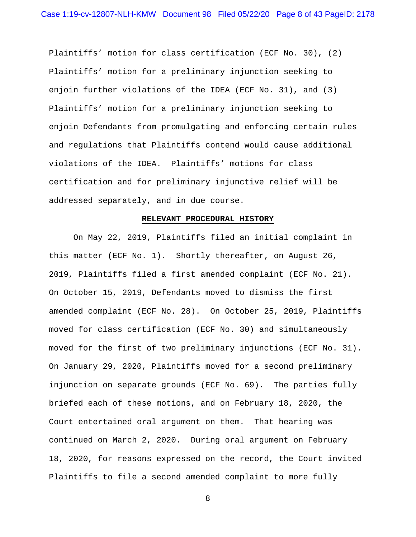Plaintiffs' motion for class certification (ECF No. 30), (2) Plaintiffs' motion for a preliminary injunction seeking to enjoin further violations of the IDEA (ECF No. 31), and (3) Plaintiffs' motion for a preliminary injunction seeking to enjoin Defendants from promulgating and enforcing certain rules and regulations that Plaintiffs contend would cause additional violations of the IDEA. Plaintiffs' motions for class certification and for preliminary injunctive relief will be addressed separately, and in due course.

### **RELEVANT PROCEDURAL HISTORY**

On May 22, 2019, Plaintiffs filed an initial complaint in this matter (ECF No. 1). Shortly thereafter, on August 26, 2019, Plaintiffs filed a first amended complaint (ECF No. 21). On October 15, 2019, Defendants moved to dismiss the first amended complaint (ECF No. 28). On October 25, 2019, Plaintiffs moved for class certification (ECF No. 30) and simultaneously moved for the first of two preliminary injunctions (ECF No. 31). On January 29, 2020, Plaintiffs moved for a second preliminary injunction on separate grounds (ECF No. 69). The parties fully briefed each of these motions, and on February 18, 2020, the Court entertained oral argument on them. That hearing was continued on March 2, 2020. During oral argument on February 18, 2020, for reasons expressed on the record, the Court invited Plaintiffs to file a second amended complaint to more fully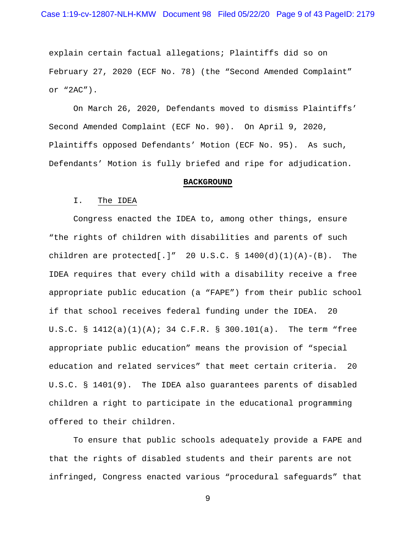explain certain factual allegations; Plaintiffs did so on February 27, 2020 (ECF No. 78) (the "Second Amended Complaint" or "2AC").

On March 26, 2020, Defendants moved to dismiss Plaintiffs' Second Amended Complaint (ECF No. 90). On April 9, 2020, Plaintiffs opposed Defendants' Motion (ECF No. 95). As such, Defendants' Motion is fully briefed and ripe for adjudication.

#### **BACKGROUND**

#### I. The IDEA

Congress enacted the IDEA to, among other things, ensure "the rights of children with disabilities and parents of such children are protected[.]" 20 U.S.C.  $\S$  1400(d)(1)(A)-(B). The IDEA requires that every child with a disability receive a free appropriate public education (a "FAPE") from their public school if that school receives federal funding under the IDEA. 20 U.S.C. § 1412(a)(1)(A); 34 C.F.R. § 300.101(a). The term "free appropriate public education" means the provision of "special education and related services" that meet certain criteria. 20 U.S.C. § 1401(9). The IDEA also guarantees parents of disabled children a right to participate in the educational programming offered to their children.

To ensure that public schools adequately provide a FAPE and that the rights of disabled students and their parents are not infringed, Congress enacted various "procedural safeguards" that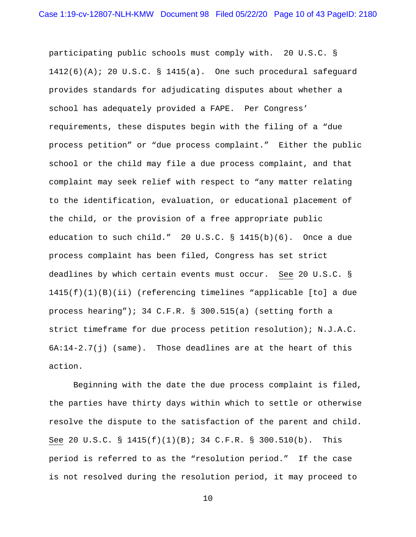participating public schools must comply with. 20 U.S.C. § 1412(6)(A); 20 U.S.C. § 1415(a). One such procedural safeguard provides standards for adjudicating disputes about whether a school has adequately provided a FAPE. Per Congress' requirements, these disputes begin with the filing of a "due process petition" or "due process complaint." Either the public school or the child may file a due process complaint, and that complaint may seek relief with respect to "any matter relating to the identification, evaluation, or educational placement of the child, or the provision of a free appropriate public education to such child." 20 U.S.C. § 1415(b)(6). Once a due process complaint has been filed, Congress has set strict deadlines by which certain events must occur. See 20 U.S.C. § 1415(f)(1)(B)(ii) (referencing timelines "applicable [to] a due process hearing"); 34 C.F.R. § 300.515(a) (setting forth a strict timeframe for due process petition resolution); N.J.A.C.  $6A:14-2.7(j)$  (same). Those deadlines are at the heart of this action.

Beginning with the date the due process complaint is filed, the parties have thirty days within which to settle or otherwise resolve the dispute to the satisfaction of the parent and child. See 20 U.S.C. § 1415(f)(1)(B); 34 C.F.R. § 300.510(b). This period is referred to as the "resolution period." If the case is not resolved during the resolution period, it may proceed to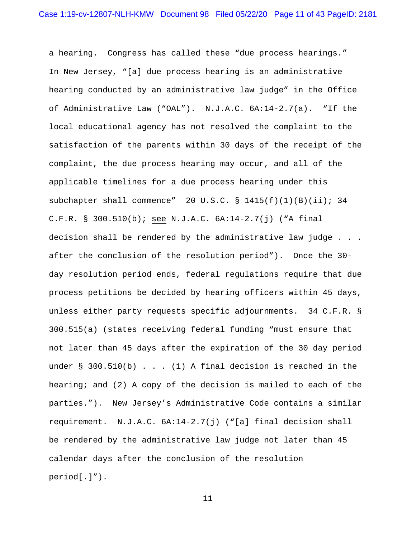a hearing. Congress has called these "due process hearings." In New Jersey, "[a] due process hearing is an administrative hearing conducted by an administrative law judge" in the Office of Administrative Law ("OAL"). N.J.A.C. 6A:14-2.7(a). "If the local educational agency has not resolved the complaint to the satisfaction of the parents within 30 days of the receipt of the complaint, the due process hearing may occur, and all of the applicable timelines for a due process hearing under this subchapter shall commence" 20 U.S.C. § 1415(f)(1)(B)(ii); 34 C.F.R. § 300.510(b); see N.J.A.C. 6A:14-2.7(j) ("A final decision shall be rendered by the administrative law judge . . . after the conclusion of the resolution period"). Once the 30 day resolution period ends, federal regulations require that due process petitions be decided by hearing officers within 45 days, unless either party requests specific adjournments. 34 C.F.R. § 300.515(a) (states receiving federal funding "must ensure that not later than 45 days after the expiration of the 30 day period under  $\S$  300.510(b) . . . (1) A final decision is reached in the hearing; and (2) A copy of the decision is mailed to each of the parties."). New Jersey's Administrative Code contains a similar requirement. N.J.A.C. 6A:14-2.7(j) ("[a] final decision shall be rendered by the administrative law judge not later than 45 calendar days after the conclusion of the resolution period[.]").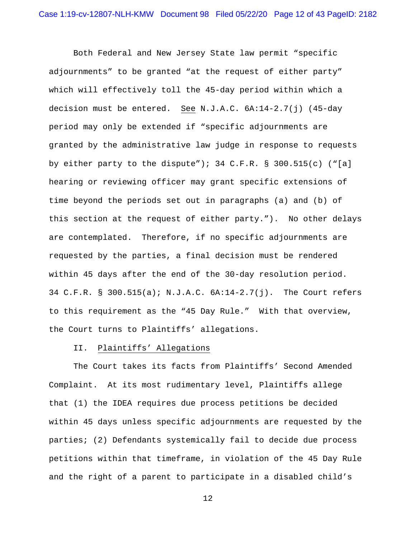Both Federal and New Jersey State law permit "specific adjournments" to be granted "at the request of either party" which will effectively toll the 45-day period within which a decision must be entered. See N.J.A.C. 6A:14-2.7(j) (45-day period may only be extended if "specific adjournments are granted by the administrative law judge in response to requests by either party to the dispute"); 34 C.F.R. § 300.515(c) ("[a] hearing or reviewing officer may grant specific extensions of time beyond the periods set out in paragraphs (a) and (b) of this section at the request of either party."). No other delays are contemplated. Therefore, if no specific adjournments are requested by the parties, a final decision must be rendered within 45 days after the end of the 30-day resolution period. 34 C.F.R. § 300.515(a); N.J.A.C. 6A:14-2.7(j). The Court refers to this requirement as the "45 Day Rule." With that overview, the Court turns to Plaintiffs' allegations.

## II. Plaintiffs' Allegations

The Court takes its facts from Plaintiffs' Second Amended Complaint. At its most rudimentary level, Plaintiffs allege that (1) the IDEA requires due process petitions be decided within 45 days unless specific adjournments are requested by the parties; (2) Defendants systemically fail to decide due process petitions within that timeframe, in violation of the 45 Day Rule and the right of a parent to participate in a disabled child's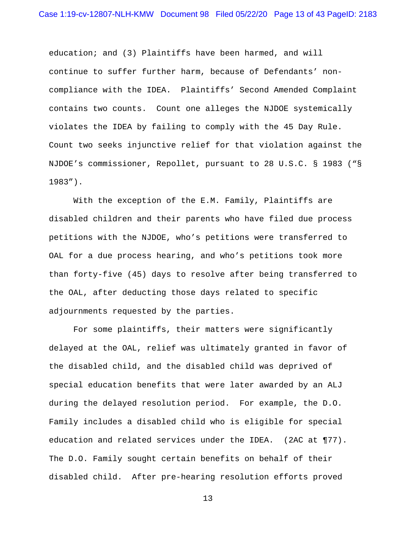education; and (3) Plaintiffs have been harmed, and will continue to suffer further harm, because of Defendants' noncompliance with the IDEA. Plaintiffs' Second Amended Complaint contains two counts. Count one alleges the NJDOE systemically violates the IDEA by failing to comply with the 45 Day Rule. Count two seeks injunctive relief for that violation against the NJDOE's commissioner, Repollet, pursuant to 28 U.S.C. § 1983 ("§ 1983").

With the exception of the E.M. Family, Plaintiffs are disabled children and their parents who have filed due process petitions with the NJDOE, who's petitions were transferred to OAL for a due process hearing, and who's petitions took more than forty-five (45) days to resolve after being transferred to the OAL, after deducting those days related to specific adjournments requested by the parties.

For some plaintiffs, their matters were significantly delayed at the OAL, relief was ultimately granted in favor of the disabled child, and the disabled child was deprived of special education benefits that were later awarded by an ALJ during the delayed resolution period. For example, the D.O. Family includes a disabled child who is eligible for special education and related services under the IDEA. (2AC at ¶77). The D.O. Family sought certain benefits on behalf of their disabled child. After pre-hearing resolution efforts proved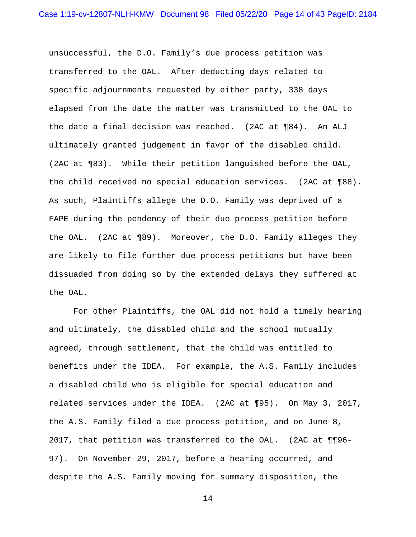unsuccessful, the D.O. Family's due process petition was transferred to the OAL. After deducting days related to specific adjournments requested by either party, 338 days elapsed from the date the matter was transmitted to the OAL to the date a final decision was reached. (2AC at ¶84). An ALJ ultimately granted judgement in favor of the disabled child. (2AC at ¶83). While their petition languished before the OAL, the child received no special education services. (2AC at ¶88). As such, Plaintiffs allege the D.O. Family was deprived of a FAPE during the pendency of their due process petition before the OAL. (2AC at ¶89). Moreover, the D.O. Family alleges they are likely to file further due process petitions but have been dissuaded from doing so by the extended delays they suffered at the OAL.

For other Plaintiffs, the OAL did not hold a timely hearing and ultimately, the disabled child and the school mutually agreed, through settlement, that the child was entitled to benefits under the IDEA. For example, the A.S. Family includes a disabled child who is eligible for special education and related services under the IDEA. (2AC at ¶95). On May 3, 2017, the A.S. Family filed a due process petition, and on June 8, 2017, that petition was transferred to the OAL. (2AC at ¶¶96- 97). On November 29, 2017, before a hearing occurred, and despite the A.S. Family moving for summary disposition, the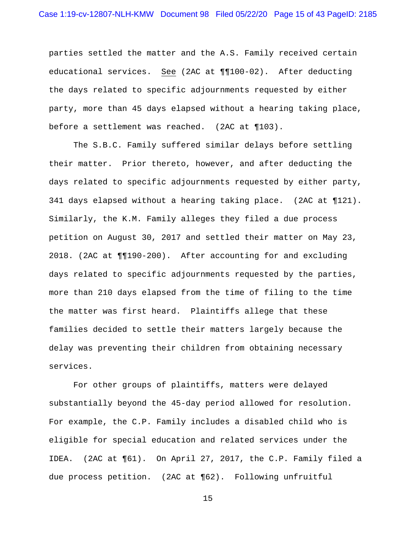parties settled the matter and the A.S. Family received certain educational services. See (2AC at ¶¶100-02). After deducting the days related to specific adjournments requested by either party, more than 45 days elapsed without a hearing taking place, before a settlement was reached. (2AC at ¶103).

The S.B.C. Family suffered similar delays before settling their matter. Prior thereto, however, and after deducting the days related to specific adjournments requested by either party, 341 days elapsed without a hearing taking place. (2AC at ¶121). Similarly, the K.M. Family alleges they filed a due process petition on August 30, 2017 and settled their matter on May 23, 2018. (2AC at ¶¶190-200). After accounting for and excluding days related to specific adjournments requested by the parties, more than 210 days elapsed from the time of filing to the time the matter was first heard. Plaintiffs allege that these families decided to settle their matters largely because the delay was preventing their children from obtaining necessary services.

For other groups of plaintiffs, matters were delayed substantially beyond the 45-day period allowed for resolution. For example, the C.P. Family includes a disabled child who is eligible for special education and related services under the IDEA. (2AC at ¶61). On April 27, 2017, the C.P. Family filed a due process petition. (2AC at ¶62). Following unfruitful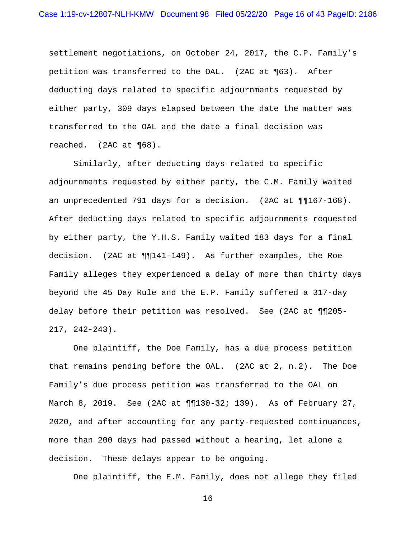settlement negotiations, on October 24, 2017, the C.P. Family's petition was transferred to the OAL. (2AC at ¶63). After deducting days related to specific adjournments requested by either party, 309 days elapsed between the date the matter was transferred to the OAL and the date a final decision was reached. (2AC at ¶68).

Similarly, after deducting days related to specific adjournments requested by either party, the C.M. Family waited an unprecedented 791 days for a decision. (2AC at ¶¶167-168). After deducting days related to specific adjournments requested by either party, the Y.H.S. Family waited 183 days for a final decision. (2AC at ¶¶141-149). As further examples, the Roe Family alleges they experienced a delay of more than thirty days beyond the 45 Day Rule and the E.P. Family suffered a 317-day delay before their petition was resolved. See (2AC at ¶¶205- 217, 242-243).

One plaintiff, the Doe Family, has a due process petition that remains pending before the OAL. (2AC at 2, n.2). The Doe Family's due process petition was transferred to the OAL on March 8, 2019. See (2AC at ¶¶130-32; 139). As of February 27, 2020, and after accounting for any party-requested continuances, more than 200 days had passed without a hearing, let alone a decision. These delays appear to be ongoing.

One plaintiff, the E.M. Family, does not allege they filed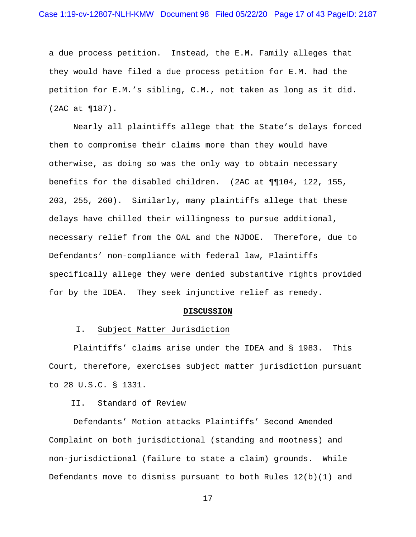a due process petition. Instead, the E.M. Family alleges that they would have filed a due process petition for E.M. had the petition for E.M.'s sibling, C.M., not taken as long as it did. (2AC at ¶187).

Nearly all plaintiffs allege that the State's delays forced them to compromise their claims more than they would have otherwise, as doing so was the only way to obtain necessary benefits for the disabled children. (2AC at ¶¶104, 122, 155, 203, 255, 260). Similarly, many plaintiffs allege that these delays have chilled their willingness to pursue additional, necessary relief from the OAL and the NJDOE. Therefore, due to Defendants' non-compliance with federal law, Plaintiffs specifically allege they were denied substantive rights provided for by the IDEA. They seek injunctive relief as remedy.

#### **DISCUSSION**

#### I. Subject Matter Jurisdiction

Plaintiffs' claims arise under the IDEA and § 1983. This Court, therefore, exercises subject matter jurisdiction pursuant to 28 U.S.C. § 1331.

#### II. Standard of Review

Defendants' Motion attacks Plaintiffs' Second Amended Complaint on both jurisdictional (standing and mootness) and non-jurisdictional (failure to state a claim) grounds. While Defendants move to dismiss pursuant to both Rules 12(b)(1) and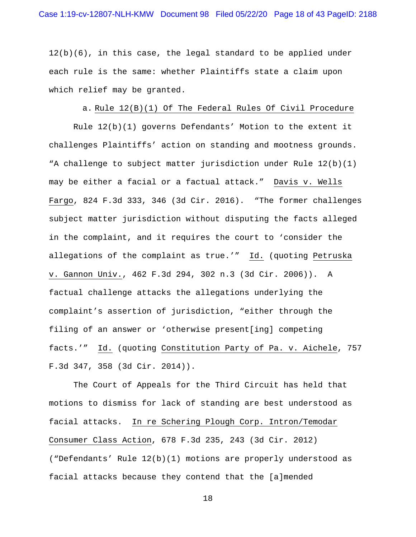$12(b)(6)$ , in this case, the legal standard to be applied under each rule is the same: whether Plaintiffs state a claim upon which relief may be granted.

# a. Rule 12(B)(1) Of The Federal Rules Of Civil Procedure

Rule 12(b)(1) governs Defendants' Motion to the extent it challenges Plaintiffs' action on standing and mootness grounds. "A challenge to subject matter jurisdiction under Rule 12(b)(1) may be either a facial or a factual attack." Davis v. Wells Fargo, 824 F.3d 333, 346 (3d Cir. 2016). "The former challenges subject matter jurisdiction without disputing the facts alleged in the complaint, and it requires the court to 'consider the allegations of the complaint as true.'" Id. (quoting Petruska v. Gannon Univ., 462 F.3d 294, 302 n.3 (3d Cir. 2006)). A factual challenge attacks the allegations underlying the complaint's assertion of jurisdiction, "either through the filing of an answer or 'otherwise present[ing] competing facts.'" Id. (quoting Constitution Party of Pa. v. Aichele, 757 F.3d 347, 358 (3d Cir. 2014)).

The Court of Appeals for the Third Circuit has held that motions to dismiss for lack of standing are best understood as facial attacks. In re Schering Plough Corp. Intron/Temodar Consumer Class Action, 678 F.3d 235, 243 (3d Cir. 2012) ("Defendants' Rule 12(b)(1) motions are properly understood as facial attacks because they contend that the [a]mended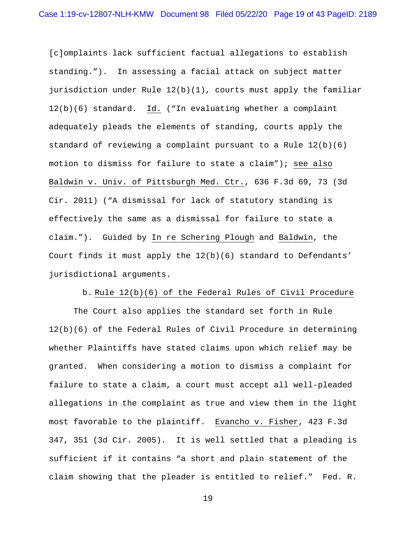[c]omplaints lack sufficient factual allegations to establish standing."). In assessing a facial attack on subject matter jurisdiction under Rule 12(b)(1), courts must apply the familiar 12(b)(6) standard. Id. ("In evaluating whether a complaint adequately pleads the elements of standing, courts apply the standard of reviewing a complaint pursuant to a Rule 12(b)(6) motion to dismiss for failure to state a claim"); see also Baldwin v. Univ. of Pittsburgh Med. Ctr., 636 F.3d 69, 73 (3d Cir. 2011) ("A dismissal for lack of statutory standing is effectively the same as a dismissal for failure to state a claim."). Guided by In re Schering Plough and Baldwin, the Court finds it must apply the  $12(b)(6)$  standard to Defendants' jurisdictional arguments.

# b. Rule 12(b)(6) of the Federal Rules of Civil Procedure

The Court also applies the standard set forth in Rule 12(b)(6) of the Federal Rules of Civil Procedure in determining whether Plaintiffs have stated claims upon which relief may be granted. When considering a motion to dismiss a complaint for failure to state a claim, a court must accept all well-pleaded allegations in the complaint as true and view them in the light most favorable to the plaintiff. Evancho v. Fisher, 423 F.3d 347, 351 (3d Cir. 2005). It is well settled that a pleading is sufficient if it contains "a short and plain statement of the claim showing that the pleader is entitled to relief." Fed. R.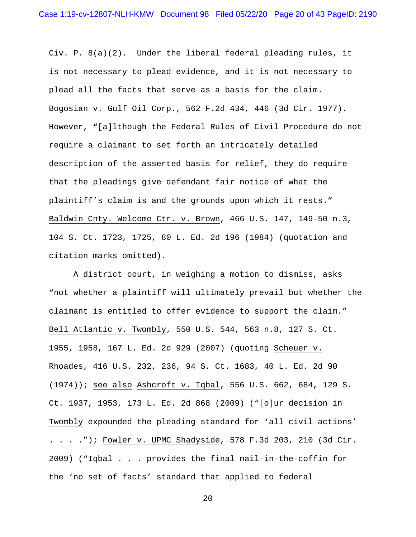Civ. P. 8(a)(2). Under the liberal federal pleading rules, it is not necessary to plead evidence, and it is not necessary to plead all the facts that serve as a basis for the claim. Bogosian v. Gulf Oil Corp., 562 F.2d 434, 446 (3d Cir. 1977). However, "[a]lthough the Federal Rules of Civil Procedure do not require a claimant to set forth an intricately detailed description of the asserted basis for relief, they do require that the pleadings give defendant fair notice of what the plaintiff's claim is and the grounds upon which it rests." Baldwin Cnty. Welcome Ctr. v. Brown, 466 U.S. 147, 149-50 n.3, 104 S. Ct. 1723, 1725, 80 L. Ed. 2d 196 (1984) (quotation and citation marks omitted).

A district court, in weighing a motion to dismiss, asks "not whether a plaintiff will ultimately prevail but whether the claimant is entitled to offer evidence to support the claim." Bell Atlantic v. Twombly, 550 U.S. 544, 563 n.8, 127 S. Ct. 1955, 1958, 167 L. Ed. 2d 929 (2007) (quoting Scheuer v. Rhoades, 416 U.S. 232, 236, 94 S. Ct. 1683, 40 L. Ed. 2d 90 (1974)); see also Ashcroft v. Iqbal, 556 U.S. 662, 684, 129 S. Ct. 1937, 1953, 173 L. Ed. 2d 868 (2009) ("[o]ur decision in Twombly expounded the pleading standard for 'all civil actions' . . . ."); Fowler v. UPMC Shadyside, 578 F.3d 203, 210 (3d Cir. 2009) ("Iqbal . . . provides the final nail-in-the-coffin for the 'no set of facts' standard that applied to federal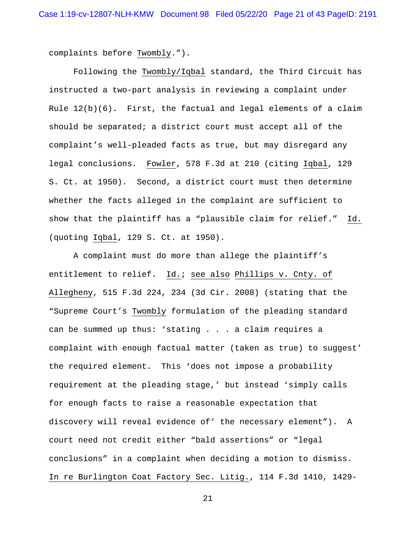complaints before Twombly.").

Following the Twombly/Iqbal standard, the Third Circuit has instructed a two-part analysis in reviewing a complaint under Rule 12(b)(6). First, the factual and legal elements of a claim should be separated; a district court must accept all of the complaint's well-pleaded facts as true, but may disregard any legal conclusions. Fowler, 578 F.3d at 210 (citing Iqbal, 129 S. Ct. at 1950). Second, a district court must then determine whether the facts alleged in the complaint are sufficient to show that the plaintiff has a "plausible claim for relief." Id. (quoting Iqbal, 129 S. Ct. at 1950).

A complaint must do more than allege the plaintiff's entitlement to relief. Id.; see also Phillips v. Cnty. of Allegheny, 515 F.3d 224, 234 (3d Cir. 2008) (stating that the "Supreme Court's Twombly formulation of the pleading standard can be summed up thus: 'stating . . . a claim requires a complaint with enough factual matter (taken as true) to suggest' the required element. This 'does not impose a probability requirement at the pleading stage,' but instead 'simply calls for enough facts to raise a reasonable expectation that discovery will reveal evidence of' the necessary element"). A court need not credit either "bald assertions" or "legal conclusions" in a complaint when deciding a motion to dismiss. In re Burlington Coat Factory Sec. Litig., 114 F.3d 1410, 1429-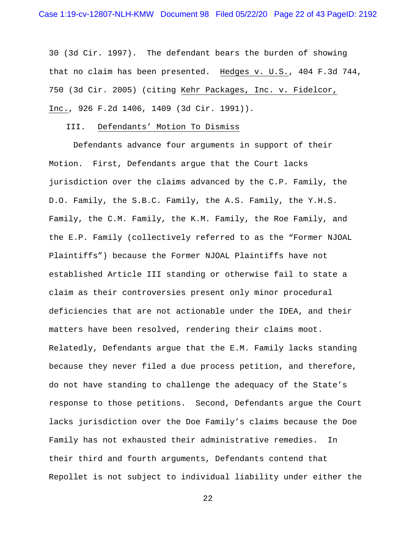30 (3d Cir. 1997). The defendant bears the burden of showing that no claim has been presented. Hedges v. U.S., 404 F.3d 744, 750 (3d Cir. 2005) (citing Kehr Packages, Inc. v. Fidelcor, Inc., 926 F.2d 1406, 1409 (3d Cir. 1991)).

### III. Defendants' Motion To Dismiss

Defendants advance four arguments in support of their Motion. First, Defendants argue that the Court lacks jurisdiction over the claims advanced by the C.P. Family, the D.O. Family, the S.B.C. Family, the A.S. Family, the Y.H.S. Family, the C.M. Family, the K.M. Family, the Roe Family, and the E.P. Family (collectively referred to as the "Former NJOAL Plaintiffs") because the Former NJOAL Plaintiffs have not established Article III standing or otherwise fail to state a claim as their controversies present only minor procedural deficiencies that are not actionable under the IDEA, and their matters have been resolved, rendering their claims moot. Relatedly, Defendants argue that the E.M. Family lacks standing because they never filed a due process petition, and therefore, do not have standing to challenge the adequacy of the State's response to those petitions. Second, Defendants argue the Court lacks jurisdiction over the Doe Family's claims because the Doe Family has not exhausted their administrative remedies. In their third and fourth arguments, Defendants contend that Repollet is not subject to individual liability under either the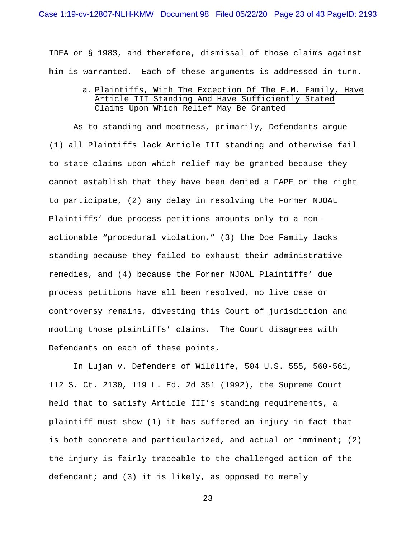### Case 1:19-cv-12807-NLH-KMW Document 98 Filed 05/22/20 Page 23 of 43 PageID: 2193

IDEA or § 1983, and therefore, dismissal of those claims against him is warranted. Each of these arguments is addressed in turn.

> a. Plaintiffs, With The Exception Of The E.M. Family, Have Article III Standing And Have Sufficiently Stated Claims Upon Which Relief May Be Granted

As to standing and mootness, primarily, Defendants argue (1) all Plaintiffs lack Article III standing and otherwise fail to state claims upon which relief may be granted because they cannot establish that they have been denied a FAPE or the right to participate, (2) any delay in resolving the Former NJOAL Plaintiffs' due process petitions amounts only to a nonactionable "procedural violation," (3) the Doe Family lacks standing because they failed to exhaust their administrative remedies, and (4) because the Former NJOAL Plaintiffs' due process petitions have all been resolved, no live case or controversy remains, divesting this Court of jurisdiction and mooting those plaintiffs' claims. The Court disagrees with Defendants on each of these points.

In Lujan v. Defenders of Wildlife, 504 U.S. 555, 560-561, 112 S. Ct. 2130, 119 L. Ed. 2d 351 (1992), the Supreme Court held that to satisfy Article III's standing requirements, a plaintiff must show (1) it has suffered an injury-in-fact that is both concrete and particularized, and actual or imminent; (2) the injury is fairly traceable to the challenged action of the defendant; and  $(3)$  it is likely, as opposed to merely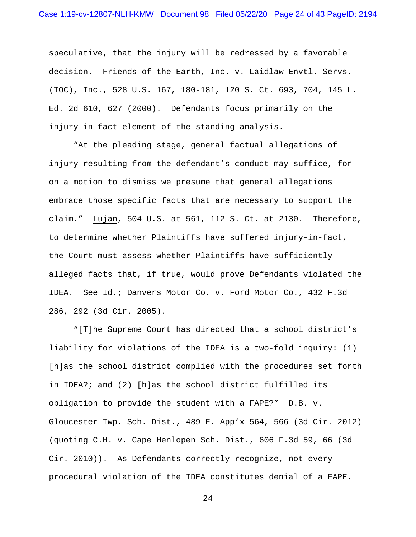speculative, that the injury will be redressed by a favorable decision. Friends of the Earth, Inc. v. Laidlaw Envtl. Servs. (TOC), Inc., 528 U.S. 167, 180-181, 120 S. Ct. 693, 704, 145 L. Ed. 2d 610, 627 (2000). Defendants focus primarily on the injury-in-fact element of the standing analysis.

"At the pleading stage, general factual allegations of injury resulting from the defendant's conduct may suffice, for on a motion to dismiss we presume that general allegations embrace those specific facts that are necessary to support the claim."Lujan, 504 U.S. at 561, 112 S. Ct. at 2130. Therefore, to determine whether Plaintiffs have suffered injury-in-fact, the Court must assess whether Plaintiffs have sufficiently alleged facts that, if true, would prove Defendants violated the IDEA. See Id.; Danvers Motor Co. v. Ford Motor Co., 432 F.3d 286, 292 (3d Cir. 2005).

"[T]he Supreme Court has directed that a school district's liability for violations of the IDEA is a two-fold inquiry: (1) [h]as the school district complied with the procedures set forth in IDEA?; and (2) [h]as the school district fulfilled its obligation to provide the student with a FAPE?" D.B. v. Gloucester Twp. Sch. Dist., 489 F. App'x 564, 566 (3d Cir. 2012) (quoting C.H. v. Cape Henlopen Sch. Dist., 606 F.3d 59, 66 (3d Cir. 2010)). As Defendants correctly recognize, not every procedural violation of the IDEA constitutes denial of a FAPE.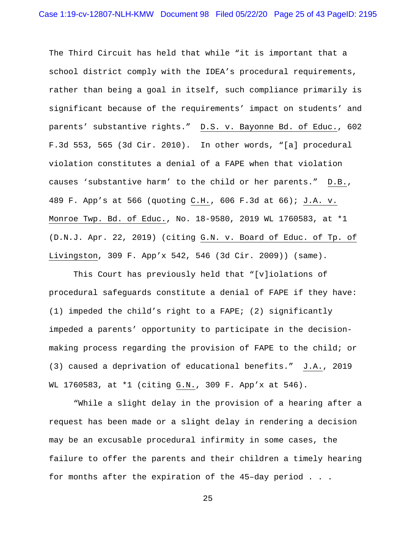The Third Circuit has held that while "it is important that a school district comply with the IDEA's procedural requirements, rather than being a goal in itself, such compliance primarily is significant because of the requirements' impact on students' and parents' substantive rights." D.S. v. Bayonne Bd. of Educ., 602 F.3d 553, 565 (3d Cir. 2010). In other words, "[a] procedural violation constitutes a denial of a FAPE when that violation causes 'substantive harm' to the child or her parents." D.B., 489 F. App's at 566 (quoting C.H., 606 F.3d at 66); J.A. v. Monroe Twp. Bd. of Educ., No. 18-9580, 2019 WL 1760583, at \*1 (D.N.J. Apr. 22, 2019) (citing G.N. v. Board of Educ. of Tp. of Livingston, 309 F. App'x 542, 546 (3d Cir. 2009)) (same).

This Court has previously held that "[v]iolations of procedural safeguards constitute a denial of FAPE if they have: (1) impeded the child's right to a FAPE; (2) significantly impeded a parents' opportunity to participate in the decisionmaking process regarding the provision of FAPE to the child; or (3) caused a deprivation of educational benefits." J.A., 2019 WL 1760583, at \*1 (citing G.N., 309 F. App'x at 546).

"While a slight delay in the provision of a hearing after a request has been made or a slight delay in rendering a decision may be an excusable procedural infirmity in some cases, the failure to offer the parents and their children a timely hearing for months after the expiration of the 45–day period . . .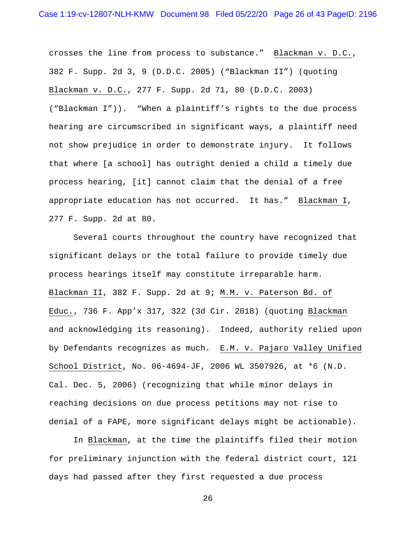crosses the line from process to substance." Blackman v. D.C., 382 F. Supp. 2d 3, 9 (D.D.C. 2005) ("Blackman II") (quoting Blackman v. D.C., 277 F. Supp. 2d 71, 80 (D.D.C. 2003) ("Blackman I")). "When a plaintiff's rights to the due process hearing are circumscribed in significant ways, a plaintiff need not show prejudice in order to demonstrate injury. It follows that where [a school] has outright denied a child a timely due process hearing, [it] cannot claim that the denial of a free appropriate education has not occurred. It has." Blackman I, 277 F. Supp. 2d at 80.

Several courts throughout the country have recognized that significant delays or the total failure to provide timely due process hearings itself may constitute irreparable harm. Blackman II, 382 F. Supp. 2d at 9; M.M. v. Paterson Bd. of Educ., 736 F. App'x 317, 322 (3d Cir. 2018) (quoting Blackman and acknowledging its reasoning). Indeed, authority relied upon by Defendants recognizes as much. E.M. v. Pajaro Valley Unified School District, No. 06-4694-JF, 2006 WL 3507926, at \*6 (N.D. Cal. Dec. 5, 2006) (recognizing that while minor delays in reaching decisions on due process petitions may not rise to denial of a FAPE, more significant delays might be actionable).

In Blackman, at the time the plaintiffs filed their motion for preliminary injunction with the federal district court, 121 days had passed after they first requested a due process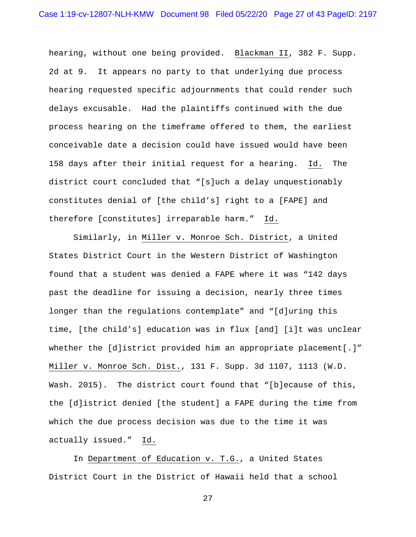hearing, without one being provided. Blackman II, 382 F. Supp. 2d at 9. It appears no party to that underlying due process hearing requested specific adjournments that could render such delays excusable. Had the plaintiffs continued with the due process hearing on the timeframe offered to them, the earliest conceivable date a decision could have issued would have been 158 days after their initial request for a hearing. Id. The district court concluded that "[s]uch a delay unquestionably constitutes denial of [the child's] right to a [FAPE] and therefore [constitutes] irreparable harm." Id.

Similarly, in Miller v. Monroe Sch. District, a United States District Court in the Western District of Washington found that a student was denied a FAPE where it was "142 days past the deadline for issuing a decision, nearly three times longer than the regulations contemplate" and "[d]uring this time, [the child's] education was in flux [and] [i]t was unclear whether the [d]istrict provided him an appropriate placement[.]" Miller v. Monroe Sch. Dist., 131 F. Supp. 3d 1107, 1113 (W.D. Wash. 2015). The district court found that "[b]ecause of this, the [d]istrict denied [the student] a FAPE during the time from which the due process decision was due to the time it was actually issued." Id.

In Department of Education v. T.G., a United States District Court in the District of Hawaii held that a school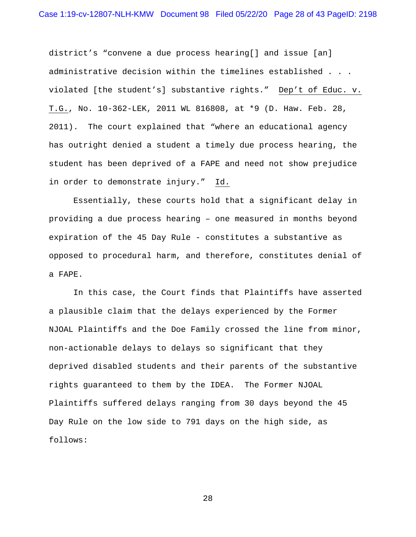district's "convene a due process hearing[] and issue [an] administrative decision within the timelines established . . . violated [the student's] substantive rights." Dep't of Educ. v. T.G., No. 10-362-LEK, 2011 WL 816808, at \*9 (D. Haw. Feb. 28, 2011). The court explained that "where an educational agency has outright denied a student a timely due process hearing, the student has been deprived of a FAPE and need not show prejudice in order to demonstrate injury." Id.

Essentially, these courts hold that a significant delay in providing a due process hearing – one measured in months beyond expiration of the 45 Day Rule - constitutes a substantive as opposed to procedural harm, and therefore, constitutes denial of a FAPE.

In this case, the Court finds that Plaintiffs have asserted a plausible claim that the delays experienced by the Former NJOAL Plaintiffs and the Doe Family crossed the line from minor, non-actionable delays to delays so significant that they deprived disabled students and their parents of the substantive rights guaranteed to them by the IDEA. The Former NJOAL Plaintiffs suffered delays ranging from 30 days beyond the 45 Day Rule on the low side to 791 days on the high side, as follows: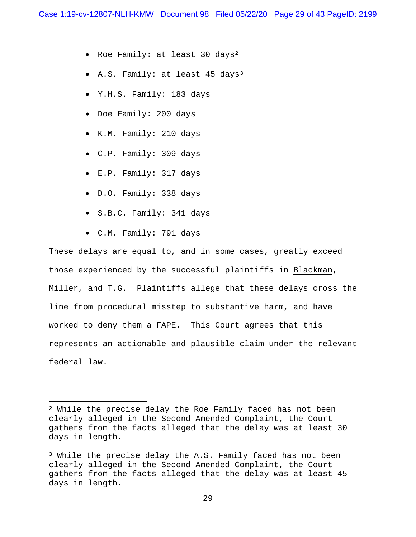- Roe Family: at least 30 days2
- A.S. Family: at least 45 days3
- Y.H.S. Family: 183 days
- Doe Family: 200 days
- K.M. Family: 210 days
- C.P. Family: 309 days
- E.P. Family: 317 days
- D.O. Family: 338 days
- S.B.C. Family: 341 days
- C.M. Family: 791 days

These delays are equal to, and in some cases, greatly exceed those experienced by the successful plaintiffs in Blackman, Miller, and T.G. Plaintiffs allege that these delays cross the line from procedural misstep to substantive harm, and have worked to deny them a FAPE. This Court agrees that this represents an actionable and plausible claim under the relevant federal law.

<sup>2</sup> While the precise delay the Roe Family faced has not been clearly alleged in the Second Amended Complaint, the Court gathers from the facts alleged that the delay was at least 30 days in length.

<sup>3</sup> While the precise delay the A.S. Family faced has not been clearly alleged in the Second Amended Complaint, the Court gathers from the facts alleged that the delay was at least 45 days in length.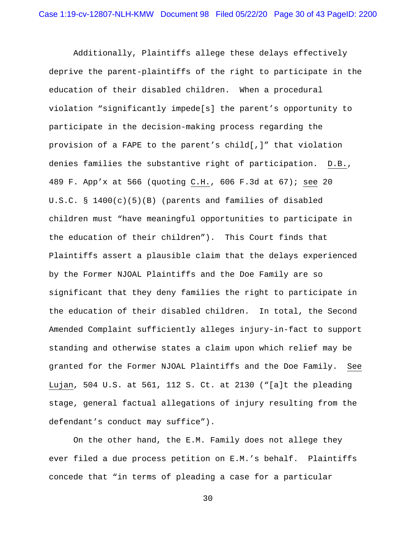Additionally, Plaintiffs allege these delays effectively deprive the parent-plaintiffs of the right to participate in the education of their disabled children. When a procedural violation "significantly impede[s] the parent's opportunity to participate in the decision-making process regarding the provision of a FAPE to the parent's child[,]" that violation denies families the substantive right of participation. D.B., 489 F. App'x at 566 (quoting C.H., 606 F.3d at 67); see 20 U.S.C. § 1400(c)(5)(B) (parents and families of disabled children must "have meaningful opportunities to participate in the education of their children"). This Court finds that Plaintiffs assert a plausible claim that the delays experienced by the Former NJOAL Plaintiffs and the Doe Family are so significant that they deny families the right to participate in the education of their disabled children. In total, the Second Amended Complaint sufficiently alleges injury-in-fact to support standing and otherwise states a claim upon which relief may be granted for the Former NJOAL Plaintiffs and the Doe Family. See Lujan, 504 U.S. at 561, 112 S. Ct. at 2130 ("[a]t the pleading stage, general factual allegations of injury resulting from the defendant's conduct may suffice").

On the other hand, the E.M. Family does not allege they ever filed a due process petition on E.M.'s behalf. Plaintiffs concede that "in terms of pleading a case for a particular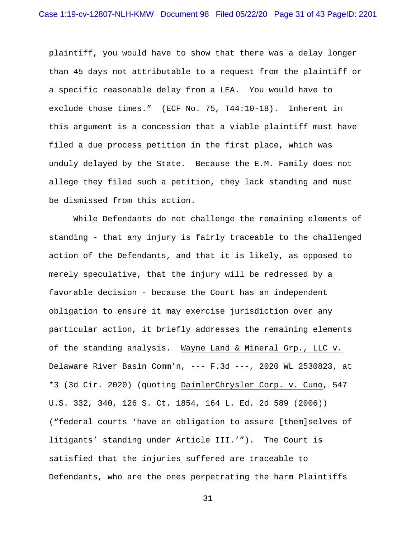plaintiff, you would have to show that there was a delay longer than 45 days not attributable to a request from the plaintiff or a specific reasonable delay from a LEA. You would have to exclude those times." (ECF No. 75, T44:10-18). Inherent in this argument is a concession that a viable plaintiff must have filed a due process petition in the first place, which was unduly delayed by the State. Because the E.M. Family does not allege they filed such a petition, they lack standing and must be dismissed from this action.

While Defendants do not challenge the remaining elements of standing - that any injury is fairly traceable to the challenged action of the Defendants, and that it is likely, as opposed to merely speculative, that the injury will be redressed by a favorable decision - because the Court has an independent obligation to ensure it may exercise jurisdiction over any particular action, it briefly addresses the remaining elements of the standing analysis. Wayne Land & Mineral Grp., LLC v. Delaware River Basin Comm'n, --- F.3d ---, 2020 WL 2530823, at \*3 (3d Cir. 2020) (quoting DaimlerChrysler Corp. v. Cuno, 547 U.S. 332, 340, 126 S. Ct. 1854, 164 L. Ed. 2d 589 (2006)) ("federal courts 'have an obligation to assure [them]selves of litigants' standing under Article III.'"). The Court is satisfied that the injuries suffered are traceable to Defendants, who are the ones perpetrating the harm Plaintiffs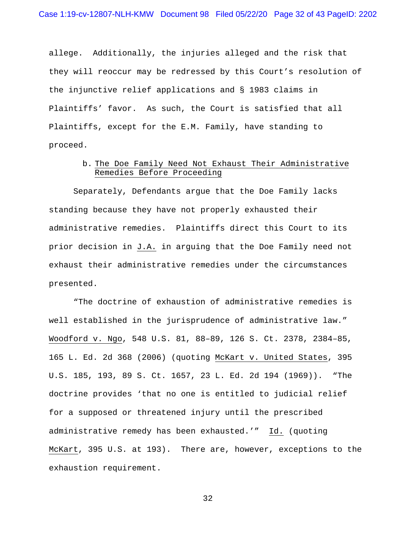allege. Additionally, the injuries alleged and the risk that they will reoccur may be redressed by this Court's resolution of the injunctive relief applications and § 1983 claims in Plaintiffs' favor. As such, the Court is satisfied that all Plaintiffs, except for the E.M. Family, have standing to proceed.

# b. The Doe Family Need Not Exhaust Their Administrative Remedies Before Proceeding

Separately, Defendants argue that the Doe Family lacks standing because they have not properly exhausted their administrative remedies. Plaintiffs direct this Court to its prior decision in J.A. in arguing that the Doe Family need not exhaust their administrative remedies under the circumstances presented.

"The doctrine of exhaustion of administrative remedies is well established in the jurisprudence of administrative law." Woodford v. Ngo, 548 U.S. 81, 88–89, 126 S. Ct. 2378, 2384–85, 165 L. Ed. 2d 368 (2006) (quoting McKart v. United States, 395 U.S. 185, 193, 89 S. Ct. 1657, 23 L. Ed. 2d 194 (1969)). "The doctrine provides 'that no one is entitled to judicial relief for a supposed or threatened injury until the prescribed administrative remedy has been exhausted.'" Id. (quoting McKart, 395 U.S. at 193). There are, however, exceptions to the exhaustion requirement.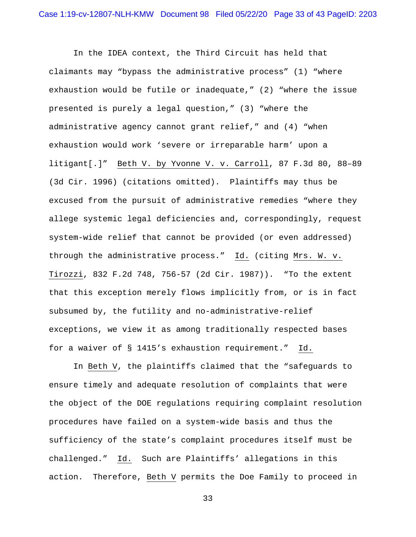In the IDEA context, the Third Circuit has held that claimants may "bypass the administrative process" (1) "where exhaustion would be futile or inadequate," (2) "where the issue presented is purely a legal question," (3) "where the administrative agency cannot grant relief," and (4) "when exhaustion would work 'severe or irreparable harm' upon a litigant[.]" Beth V. by Yvonne V. v. Carroll, 87 F.3d 80, 88–89 (3d Cir. 1996) (citations omitted). Plaintiffs may thus be excused from the pursuit of administrative remedies "where they allege systemic legal deficiencies and, correspondingly, request system-wide relief that cannot be provided (or even addressed) through the administrative process." Id. (citing Mrs. W. v. Tirozzi, 832 F.2d 748, 756-57 (2d Cir. 1987)). "To the extent that this exception merely flows implicitly from, or is in fact subsumed by, the futility and no-administrative-relief exceptions, we view it as among traditionally respected bases for a waiver of § 1415's exhaustion requirement." Id.

In Beth V, the plaintiffs claimed that the "safeguards to ensure timely and adequate resolution of complaints that were the object of the DOE regulations requiring complaint resolution procedures have failed on a system-wide basis and thus the sufficiency of the state's complaint procedures itself must be challenged." Id. Such are Plaintiffs' allegations in this action. Therefore, Beth V permits the Doe Family to proceed in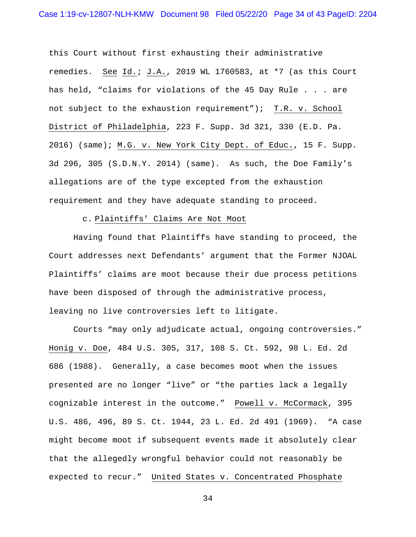this Court without first exhausting their administrative remedies. See Id.; J.A., 2019 WL 1760583, at \*7 (as this Court has held, "claims for violations of the 45 Day Rule . . . are not subject to the exhaustion requirement"); T.R. v. School District of Philadelphia, 223 F. Supp. 3d 321, 330 (E.D. Pa. 2016) (same); M.G. v. New York City Dept. of Educ., 15 F. Supp. 3d 296, 305 (S.D.N.Y. 2014) (same). As such, the Doe Family's allegations are of the type excepted from the exhaustion requirement and they have adequate standing to proceed.

#### c. Plaintiffs' Claims Are Not Moot

Having found that Plaintiffs have standing to proceed, the Court addresses next Defendants' argument that the Former NJOAL Plaintiffs' claims are moot because their due process petitions have been disposed of through the administrative process, leaving no live controversies left to litigate.

Courts "may only adjudicate actual, ongoing controversies." Honig v. Doe, 484 U.S. 305, 317, 108 S. Ct. 592, 98 L. Ed. 2d 686 (1988). Generally, a case becomes moot when the issues presented are no longer "live" or "the parties lack a legally cognizable interest in the outcome." Powell v. McCormack, 395 U.S. 486, 496, 89 S. Ct. 1944, 23 L. Ed. 2d 491 (1969). "A case might become moot if subsequent events made it absolutely clear that the allegedly wrongful behavior could not reasonably be expected to recur." United States v. Concentrated Phosphate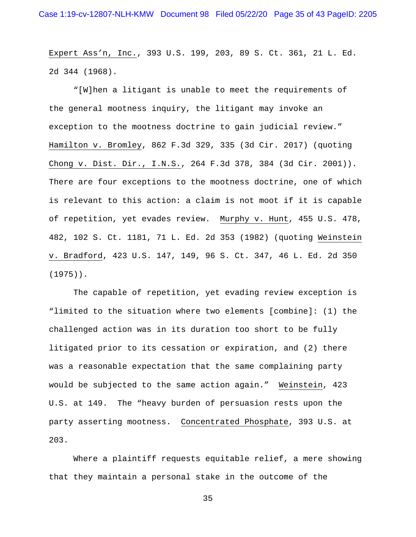Expert Ass'n, Inc., 393 U.S. 199, 203, 89 S. Ct. 361, 21 L. Ed. 2d 344 (1968).

"[W]hen a litigant is unable to meet the requirements of the general mootness inquiry, the litigant may invoke an exception to the mootness doctrine to gain judicial review." Hamilton v. Bromley, 862 F.3d 329, 335 (3d Cir. 2017) (quoting Chong v. Dist. Dir., I.N.S., 264 F.3d 378, 384 (3d Cir. 2001)). There are four exceptions to the mootness doctrine, one of which is relevant to this action: a claim is not moot if it is capable of repetition, yet evades review. Murphy v. Hunt, 455 U.S. 478, 482, 102 S. Ct. 1181, 71 L. Ed. 2d 353 (1982) (quoting Weinstein v. Bradford, 423 U.S. 147, 149, 96 S. Ct. 347, 46 L. Ed. 2d 350 (1975)).

The capable of repetition, yet evading review exception is "limited to the situation where two elements [combine]: (1) the challenged action was in its duration too short to be fully litigated prior to its cessation or expiration, and (2) there was a reasonable expectation that the same complaining party would be subjected to the same action again." Weinstein, 423 U.S. at 149. The "heavy burden of persuasion rests upon the party asserting mootness. Concentrated Phosphate, 393 U.S. at 203.

Where a plaintiff requests equitable relief, a mere showing that they maintain a personal stake in the outcome of the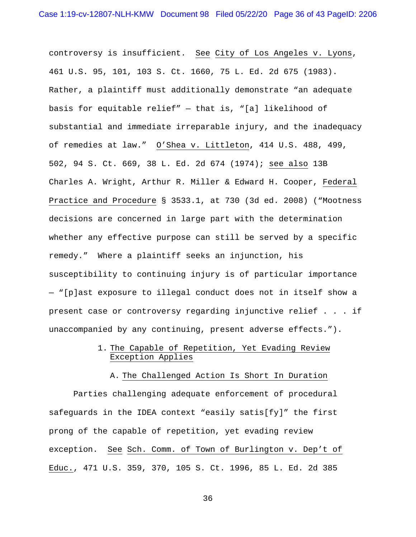controversy is insufficient. See City of Los Angeles v. Lyons, 461 U.S. 95, 101, 103 S. Ct. 1660, 75 L. Ed. 2d 675 (1983). Rather, a plaintiff must additionally demonstrate "an adequate basis for equitable relief" — that is, "[a] likelihood of substantial and immediate irreparable injury, and the inadequacy of remedies at law." O'Shea v. Littleton, 414 U.S. 488, 499, 502, 94 S. Ct. 669, 38 L. Ed. 2d 674 (1974); see also 13B Charles A. Wright, Arthur R. Miller & Edward H. Cooper, Federal Practice and Procedure § 3533.1, at 730 (3d ed. 2008) ("Mootness decisions are concerned in large part with the determination whether any effective purpose can still be served by a specific remedy." Where a plaintiff seeks an injunction, his susceptibility to continuing injury is of particular importance — "[p]ast exposure to illegal conduct does not in itself show a present case or controversy regarding injunctive relief . . . if unaccompanied by any continuing, present adverse effects.").

# 1. The Capable of Repetition, Yet Evading Review Exception Applies

## A. The Challenged Action Is Short In Duration

Parties challenging adequate enforcement of procedural safeguards in the IDEA context "easily satis[fy]" the first prong of the capable of repetition, yet evading review exception. See Sch. Comm. of Town of Burlington v. Dep't of Educ., 471 U.S. 359, 370, 105 S. Ct. 1996, 85 L. Ed. 2d 385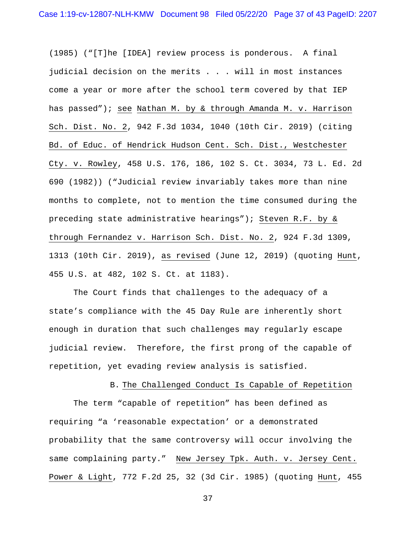(1985) ("[T]he [IDEA] review process is ponderous. A final judicial decision on the merits . . . will in most instances come a year or more after the school term covered by that IEP has passed"); see Nathan M. by & through Amanda M. v. Harrison Sch. Dist. No. 2, 942 F.3d 1034, 1040 (10th Cir. 2019) (citing Bd. of Educ. of Hendrick Hudson Cent. Sch. Dist., Westchester Cty. v. Rowley, 458 U.S. 176, 186, 102 S. Ct. 3034, 73 L. Ed. 2d 690 (1982)) ("Judicial review invariably takes more than nine months to complete, not to mention the time consumed during the preceding state administrative hearings"); Steven R.F. by & through Fernandez v. Harrison Sch. Dist. No. 2, 924 F.3d 1309, 1313 (10th Cir. 2019), as revised (June 12, 2019) (quoting Hunt, 455 U.S. at 482, 102 S. Ct. at 1183).

The Court finds that challenges to the adequacy of a state's compliance with the 45 Day Rule are inherently short enough in duration that such challenges may regularly escape judicial review. Therefore, the first prong of the capable of repetition, yet evading review analysis is satisfied.

B. The Challenged Conduct Is Capable of Repetition

The term "capable of repetition" has been defined as requiring "a 'reasonable expectation' or a demonstrated probability that the same controversy will occur involving the same complaining party." New Jersey Tpk. Auth. v. Jersey Cent. Power & Light, 772 F.2d 25, 32 (3d Cir. 1985) (quoting Hunt, 455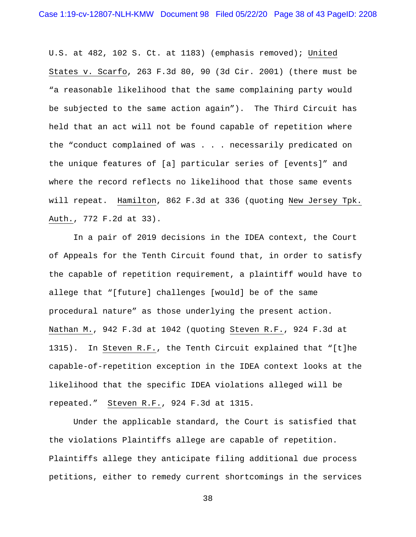U.S. at 482, 102 S. Ct. at 1183) (emphasis removed); United States v. Scarfo, 263 F.3d 80, 90 (3d Cir. 2001) (there must be "a reasonable likelihood that the same complaining party would be subjected to the same action again"). The Third Circuit has held that an act will not be found capable of repetition where the "conduct complained of was . . . necessarily predicated on the unique features of [a] particular series of [events]" and where the record reflects no likelihood that those same events will repeat. Hamilton, 862 F.3d at 336 (quoting New Jersey Tpk. Auth., 772 F.2d at 33).

In a pair of 2019 decisions in the IDEA context, the Court of Appeals for the Tenth Circuit found that, in order to satisfy the capable of repetition requirement, a plaintiff would have to allege that "[future] challenges [would] be of the same procedural nature" as those underlying the present action. Nathan M., 942 F.3d at 1042 (quoting Steven R.F., 924 F.3d at 1315). In Steven R.F., the Tenth Circuit explained that "[t]he capable-of-repetition exception in the IDEA context looks at the likelihood that the specific IDEA violations alleged will be repeated." Steven R.F., 924 F.3d at 1315.

Under the applicable standard, the Court is satisfied that the violations Plaintiffs allege are capable of repetition. Plaintiffs allege they anticipate filing additional due process petitions, either to remedy current shortcomings in the services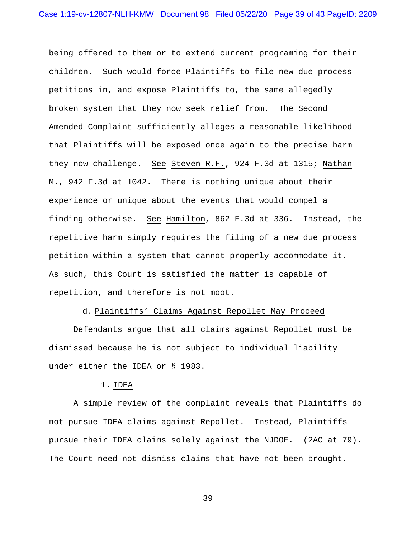being offered to them or to extend current programing for their children. Such would force Plaintiffs to file new due process petitions in, and expose Plaintiffs to, the same allegedly broken system that they now seek relief from. The Second Amended Complaint sufficiently alleges a reasonable likelihood that Plaintiffs will be exposed once again to the precise harm they now challenge. See Steven R.F., 924 F.3d at 1315; Nathan M., 942 F.3d at 1042. There is nothing unique about their experience or unique about the events that would compel a finding otherwise. See Hamilton, 862 F.3d at 336. Instead, the repetitive harm simply requires the filing of a new due process petition within a system that cannot properly accommodate it. As such, this Court is satisfied the matter is capable of repetition, and therefore is not moot.

#### d. Plaintiffs' Claims Against Repollet May Proceed

Defendants argue that all claims against Repollet must be dismissed because he is not subject to individual liability under either the IDEA or § 1983.

## 1. IDEA

A simple review of the complaint reveals that Plaintiffs do not pursue IDEA claims against Repollet. Instead, Plaintiffs pursue their IDEA claims solely against the NJDOE. (2AC at 79). The Court need not dismiss claims that have not been brought.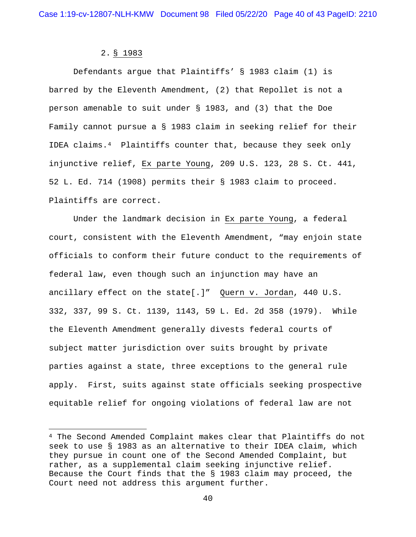# 2. § 1983

Defendants argue that Plaintiffs' § 1983 claim (1) is barred by the Eleventh Amendment, (2) that Repollet is not a person amenable to suit under § 1983, and (3) that the Doe Family cannot pursue a § 1983 claim in seeking relief for their IDEA claims.4 Plaintiffs counter that, because they seek only injunctive relief, Ex parte Young, 209 U.S. 123, 28 S. Ct. 441, 52 L. Ed. 714 (1908) permits their § 1983 claim to proceed. Plaintiffs are correct.

Under the landmark decision in Ex parte Young, a federal court, consistent with the Eleventh Amendment, "may enjoin state officials to conform their future conduct to the requirements of federal law, even though such an injunction may have an ancillary effect on the state[.]"  $Quern$  v. Jordan, 440 U.S. 332, 337, 99 S. Ct. 1139, 1143, 59 L. Ed. 2d 358 (1979). While the Eleventh Amendment generally divests federal courts of subject matter jurisdiction over suits brought by private parties against a state, three exceptions to the general rule apply. First, suits against state officials seeking prospective equitable relief for ongoing violations of federal law are not

<sup>4</sup> The Second Amended Complaint makes clear that Plaintiffs do not seek to use § 1983 as an alternative to their IDEA claim, which they pursue in count one of the Second Amended Complaint, but rather, as a supplemental claim seeking injunctive relief. Because the Court finds that the § 1983 claim may proceed, the Court need not address this argument further.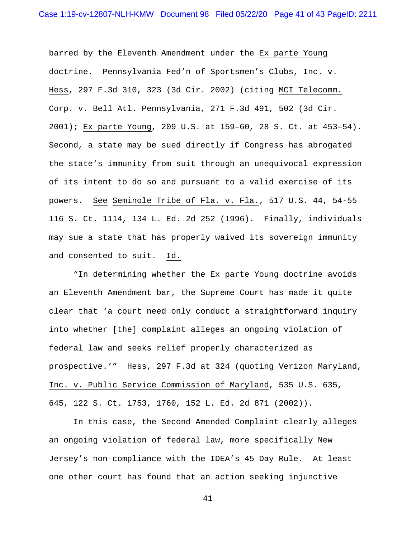barred by the Eleventh Amendment under the Ex parte Young doctrine. Pennsylvania Fed'n of Sportsmen's Clubs, Inc. v. Hess, 297 F.3d 310, 323 (3d Cir. 2002) (citing MCI Telecomm. Corp. v. Bell Atl. Pennsylvania, 271 F.3d 491, 502 (3d Cir. 2001); Ex parte Young, 209 U.S. at 159–60, 28 S. Ct. at 453–54). Second, a state may be sued directly if Congress has abrogated the state's immunity from suit through an unequivocal expression of its intent to do so and pursuant to a valid exercise of its powers. See Seminole Tribe of Fla. v. Fla., 517 U.S. 44, 54-55 116 S. Ct. 1114, 134 L. Ed. 2d 252 (1996). Finally, individuals may sue a state that has properly waived its sovereign immunity and consented to suit. Id.

"In determining whether the Ex parte Young doctrine avoids an Eleventh Amendment bar, the Supreme Court has made it quite clear that 'a court need only conduct a straightforward inquiry into whether [the] complaint alleges an ongoing violation of federal law and seeks relief properly characterized as prospective.'" Hess, 297 F.3d at 324 (quoting Verizon Maryland, Inc. v. Public Service Commission of Maryland, 535 U.S. 635, 645, 122 S. Ct. 1753, 1760, 152 L. Ed. 2d 871 (2002)).

In this case, the Second Amended Complaint clearly alleges an ongoing violation of federal law, more specifically New Jersey's non-compliance with the IDEA's 45 Day Rule. At least one other court has found that an action seeking injunctive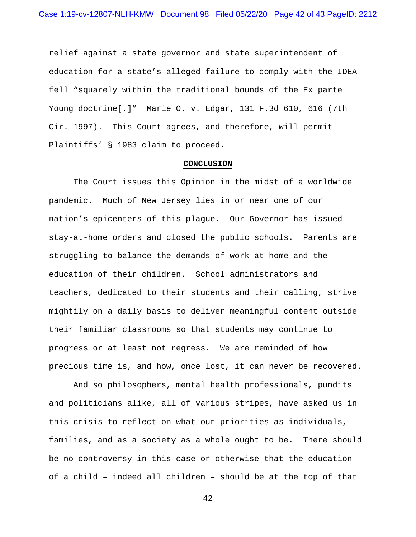relief against a state governor and state superintendent of education for a state's alleged failure to comply with the IDEA fell "squarely within the traditional bounds of the Ex parte Young doctrine[.]" Marie O. v. Edgar, 131 F.3d 610, 616 (7th Cir. 1997). This Court agrees, and therefore, will permit Plaintiffs' § 1983 claim to proceed.

#### **CONCLUSION**

The Court issues this Opinion in the midst of a worldwide pandemic. Much of New Jersey lies in or near one of our nation's epicenters of this plague. Our Governor has issued stay-at-home orders and closed the public schools. Parents are struggling to balance the demands of work at home and the education of their children. School administrators and teachers, dedicated to their students and their calling, strive mightily on a daily basis to deliver meaningful content outside their familiar classrooms so that students may continue to progress or at least not regress. We are reminded of how precious time is, and how, once lost, it can never be recovered.

And so philosophers, mental health professionals, pundits and politicians alike, all of various stripes, have asked us in this crisis to reflect on what our priorities as individuals, families, and as a society as a whole ought to be. There should be no controversy in this case or otherwise that the education of a child – indeed all children – should be at the top of that